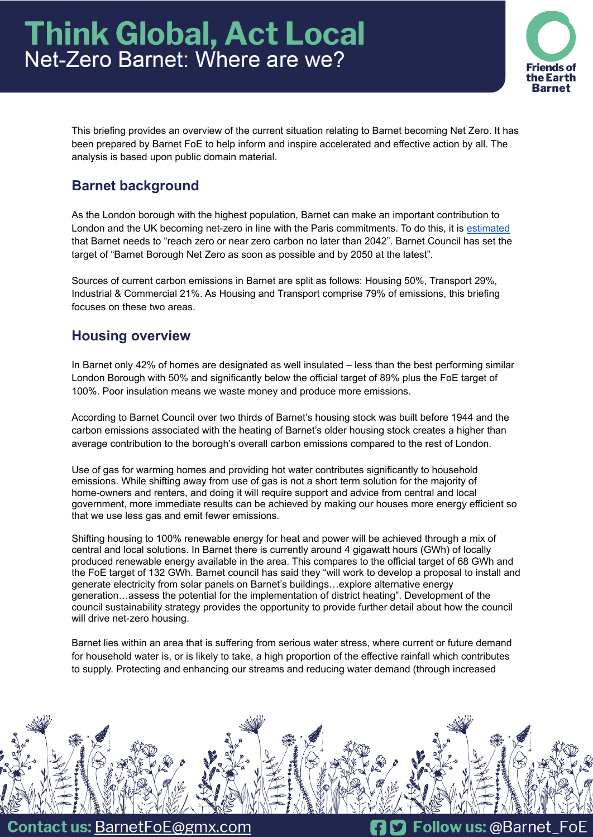

This briefing provides an overview of the current situation relating to Barnet becoming Net Zero. It has been prepared by Barnet FoE to help inform and inspire accelerated and effective action by all. The analysis is based upon public domain material.

# **Barnet background**

As the London borough with the highest population, Barnet can make an important contribution to London and the UK becoming net-zero in line with the Paris commitments. To do this, it is [estimated](https://carbonbudget.manchester.ac.uk/reports/E09000003/) that Barnet needs to "reach zero or near zero carbon no later than 2042". Barnet Council has set the target of "Barnet Borough Net Zero as soon as possible and by 2050 at the latest".

Sources of current carbon emissions in Barnet are split as follows: Housing 50%, Transport 29%, Industrial & Commercial 21%. As Housing and Transport comprise 79% of emissions, this briefing focuses on these two areas.

# **Housing overview**

In Barnet only 42% of homes are designated as well insulated – less than the best performing similar London Borough with 50% and significantly below the official target of 89% plus the FoE target of 100%. Poor insulation means we waste money and produce more emissions.

According to Barnet Council over two thirds of Barnet's housing stock was built before 1944 and the carbon emissions associated with the heating of Barnet's older housing stock creates a higher than average contribution to the borough's overall carbon emissions compared to the rest of London.

Use of gas for warming homes and providing hot water contributes significantly to household emissions. While shifting away from use of gas is not a short term solution for the majority of home-owners and renters, and doing it will require support and advice from central and local government, more immediate results can be achieved by making our houses more energy efficient so that we use less gas and emit fewer emissions.

Shifting housing to 100% renewable energy for heat and power will be achieved through a mix of central and local solutions. In Barnet there is currently around 4 gigawatt hours (GWh) of locally produced renewable energy available in the area. This compares to the official target of 68 GWh and the FoE target of 132 GWh. Barnet council has said they "will work to develop a proposal to install and generate electricity from solar panels on Barnet's buildings…explore alternative energy generation…assess the potential for the implementation of district heating". Development of the council sustainability strategy provides the opportunity to provide further detail about how the council will drive net-zero housing.

Barnet lies within an area that is suffering from serious water stress, where current or future demand for household water is, or is likely to take, a high proportion of the effective rainfall which contributes to supply. Protecting and enhancing our streams and reducing water demand (through increased



Contact us: BarnetFoE@gmx.com

Follow us: @Barnet FoE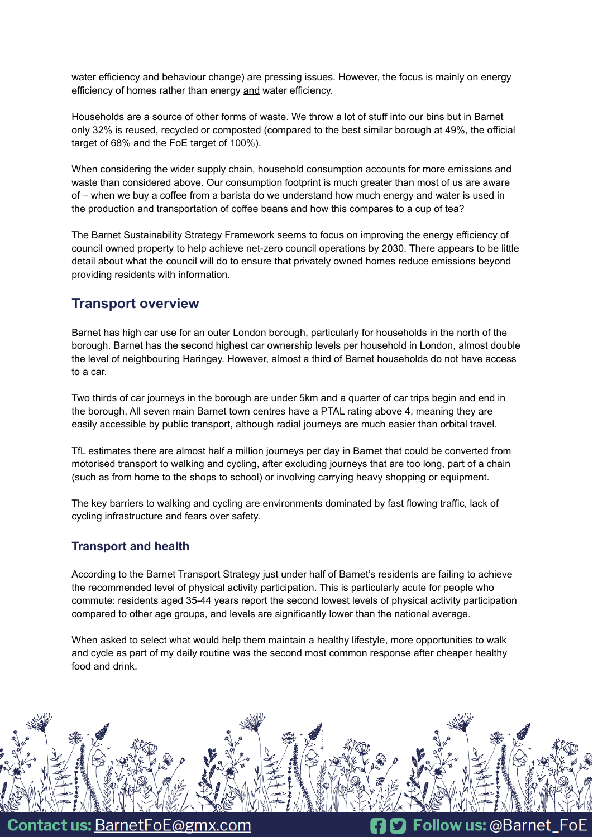water efficiency and behaviour change) are pressing issues. However, the focus is mainly on energy efficiency of homes rather than energy and water efficiency.

Households are a source of other forms of waste. We throw a lot of stuff into our bins but in Barnet only 32% is reused, recycled or composted (compared to the best similar borough at 49%, the official target of 68% and the FoE target of 100%).

When considering the wider supply chain, household consumption accounts for more emissions and waste than considered above. Our consumption footprint is much greater than most of us are aware of – when we buy a coffee from a barista do we understand how much energy and water is used in the production and transportation of coffee beans and how this compares to a cup of tea?

The Barnet Sustainability Strategy Framework seems to focus on improving the energy efficiency of council owned property to help achieve net-zero council operations by 2030. There appears to be little detail about what the council will do to ensure that privately owned homes reduce emissions beyond providing residents with information.

### **Transport overview**

Barnet has high car use for an outer London borough, particularly for households in the north of the borough. Barnet has the second highest car ownership levels per household in London, almost double the level of neighbouring Haringey. However, almost a third of Barnet households do not have access to a car.

Two thirds of car journeys in the borough are under 5km and a quarter of car trips begin and end in the borough. All seven main Barnet town centres have a PTAL rating above 4, meaning they are easily accessible by public transport, although radial journeys are much easier than orbital travel.

TfL estimates there are almost half a million journeys per day in Barnet that could be converted from motorised transport to walking and cycling, after excluding journeys that are too long, part of a chain (such as from home to the shops to school) or involving carrying heavy shopping or equipment.

The key barriers to walking and cycling are environments dominated by fast flowing traffic, lack of cycling infrastructure and fears over safety.

#### **Transport and health**

According to the Barnet Transport Strategy just under half of Barnet's residents are failing to achieve the recommended level of physical activity participation. This is particularly acute for people who commute: residents aged 35-44 years report the second lowest levels of physical activity participation compared to other age groups, and levels are significantly lower than the national average.

When asked to select what would help them maintain a healthy lifestyle, more opportunities to walk and cycle as part of my daily routine was the second most common response after cheaper healthy food and drink.



Contact us: BarnetFoE@gmx.com

**D** Follow us: @Barnet FoE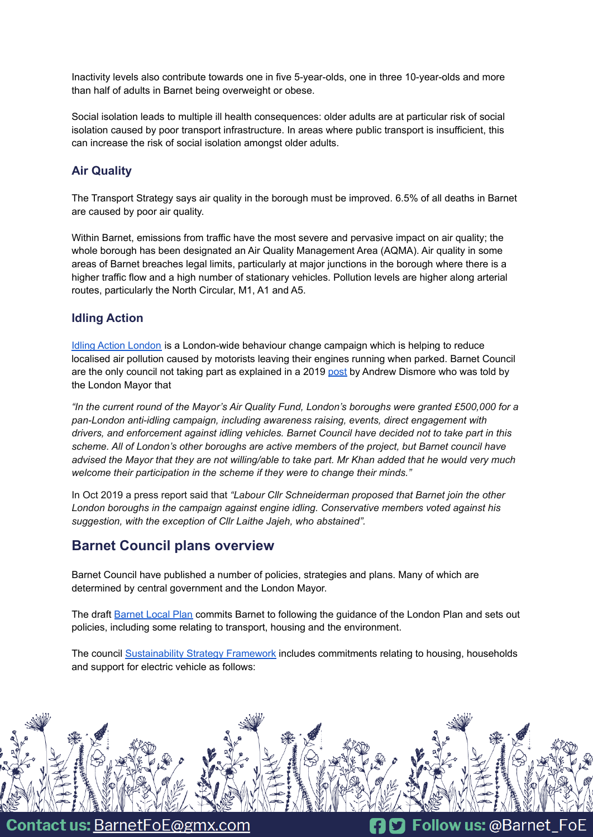Inactivity levels also contribute towards one in five 5-year-olds, one in three 10-year-olds and more than half of adults in Barnet being overweight or obese.

Social isolation leads to multiple ill health consequences: older adults are at particular risk of social isolation caused by poor transport infrastructure. In areas where public transport is insufficient, this can increase the risk of social isolation amongst older adults.

#### **Air Quality**

The Transport Strategy says air quality in the borough must be improved. 6.5% of all deaths in Barnet are caused by poor air quality.

Within Barnet, emissions from traffic have the most severe and pervasive impact on air quality; the whole borough has been designated an Air Quality Management Area (AQMA). Air quality in some areas of Barnet breaches legal limits, particularly at major junctions in the borough where there is a higher traffic flow and a high number of stationary vehicles. Pollution levels are higher along arterial routes, particularly the North Circular, M1, A1 and A5.

#### **Idling Action**

Idling Action [London](https://idlingaction.london/) is a London-wide behaviour change campaign which is helping to reduce localised air pollution caused by motorists leaving their engines running when parked. Barnet Council are the only council not taking part as explained in a 2019 [post](http://www.andrewdismore.org.uk/home/2019/10/24/barnet-council-is-the-only-london-borough-not-to-take-part-in-mayors-anti-engine-idling-campaign/) by Andrew Dismore who was told by the London Mayor that

*"In the current round of the Mayor's Air Quality Fund, London's boroughs were granted £500,000 for a pan-London anti-idling campaign, including awareness raising, events, direct engagement with drivers, and enforcement against idling vehicles. Barnet Council have decided not to take part in this scheme. All of London's other boroughs are active members of the project, but Barnet council have* advised the Mayor that they are not willing/able to take part. Mr Khan added that he would very much *welcome their participation in the scheme if they were to change their minds."*

In Oct 2019 a press report said that *"Labour Cllr Schneiderman proposed that Barnet join the other London boroughs in the campaign against engine idling. Conservative members voted against his suggestion, with the exception of Cllr Laithe Jajeh, who abstained".*

## **Barnet Council plans overview**

Barnet Council have published a number of policies, strategies and plans. Many of which are determined by central government and the London Mayor.

The draft [Barnet](https://www.barnet.gov.uk/planning-and-building/planning-policies-and-local-plan/local-plan-review) Local Plan commits Barnet to following the guidance of the London Plan and sets out policies, including some relating to transport, housing and the environment.

The council [Sustainability](https://www.barnet.gov.uk/news/barnet-council-will-be-carbon-net-zero-2030) Strategy Framework includes commitments relating to housing, households and support for electric vehicle as follows:



**Contact us: BarnetFoE@gmx.com** 

**D** Follow us: @Barnet\_FoE